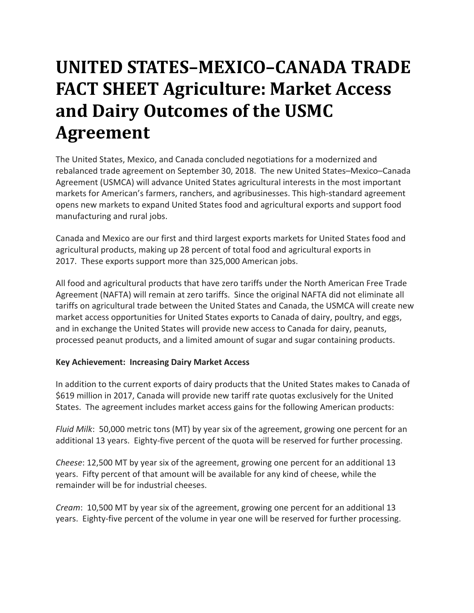## **UNITED STATES–MEXICO–CANADA TRADE FACT SHEET Agriculture: Market Access and Dairy Outcomes of the USMC Agreement**

The United States, Mexico, and Canada concluded negotiations for a modernized and rebalanced trade agreement on September 30, 2018. The new United States–Mexico–Canada Agreement (USMCA) will advance United States agricultural interests in the most important markets for American's farmers, ranchers, and agribusinesses. This high-standard agreement opens new markets to expand United States food and agricultural exports and support food manufacturing and rural jobs.

Canada and Mexico are our first and third largest exports markets for United States food and agricultural products, making up 28 percent of total food and agricultural exports in 2017. These exports support more than 325,000 American jobs.

All food and agricultural products that have zero tariffs under the North American Free Trade Agreement (NAFTA) will remain at zero tariffs. Since the original NAFTA did not eliminate all tariffs on agricultural trade between the United States and Canada, the USMCA will create new market access opportunities for United States exports to Canada of dairy, poultry, and eggs, and in exchange the United States will provide new access to Canada for dairy, peanuts, processed peanut products, and a limited amount of sugar and sugar containing products.

## **Key Achievement: Increasing Dairy Market Access**

In addition to the current exports of dairy products that the United States makes to Canada of \$619 million in 2017, Canada will provide new tariff rate quotas exclusively for the United States. The agreement includes market access gains for the following American products:

*Fluid Milk*: 50,000 metric tons (MT) by year six of the agreement, growing one percent for an additional 13 years. Eighty-five percent of the quota will be reserved for further processing.

*Cheese*: 12,500 MT by year six of the agreement, growing one percent for an additional 13 years. Fifty percent of that amount will be available for any kind of cheese, while the remainder will be for industrial cheeses.

*Cream*: 10,500 MT by year six of the agreement, growing one percent for an additional 13 years. Eighty-five percent of the volume in year one will be reserved for further processing.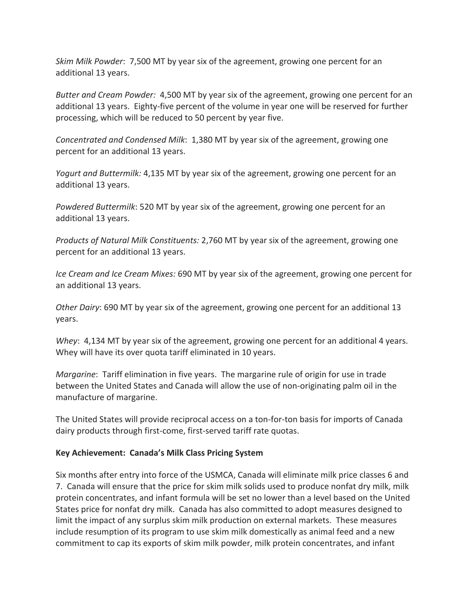*Skim Milk Powder*: 7,500 MT by year six of the agreement, growing one percent for an additional 13 years.

*Butter and Cream Powder:* 4,500 MT by year six of the agreement, growing one percent for an additional 13 years. Eighty-five percent of the volume in year one will be reserved for further processing, which will be reduced to 50 percent by year five.

*Concentrated and Condensed Milk*: 1,380 MT by year six of the agreement, growing one percent for an additional 13 years.

*Yogurt and Buttermilk:* 4,135 MT by year six of the agreement, growing one percent for an additional 13 years.

*Powdered Buttermilk*: 520 MT by year six of the agreement, growing one percent for an additional 13 years.

*Products of Natural Milk Constituents:* 2,760 MT by year six of the agreement, growing one percent for an additional 13 years.

*Ice Cream and Ice Cream Mixes:* 690 MT by year six of the agreement, growing one percent for an additional 13 years.

*Other Dairy*: 690 MT by year six of the agreement, growing one percent for an additional 13 years.

*Whey*: 4,134 MT by year six of the agreement, growing one percent for an additional 4 years. Whey will have its over quota tariff eliminated in 10 years.

*Margarine*: Tariff elimination in five years. The margarine rule of origin for use in trade between the United States and Canada will allow the use of non-originating palm oil in the manufacture of margarine.

The United States will provide reciprocal access on a ton-for-ton basis for imports of Canada dairy products through first-come, first-served tariff rate quotas.

## **Key Achievement: Canada's Milk Class Pricing System**

Six months after entry into force of the USMCA, Canada will eliminate milk price classes 6 and 7. Canada will ensure that the price for skim milk solids used to produce nonfat dry milk, milk protein concentrates, and infant formula will be set no lower than a level based on the United States price for nonfat dry milk. Canada has also committed to adopt measures designed to limit the impact of any surplus skim milk production on external markets. These measures include resumption of its program to use skim milk domestically as animal feed and a new commitment to cap its exports of skim milk powder, milk protein concentrates, and infant